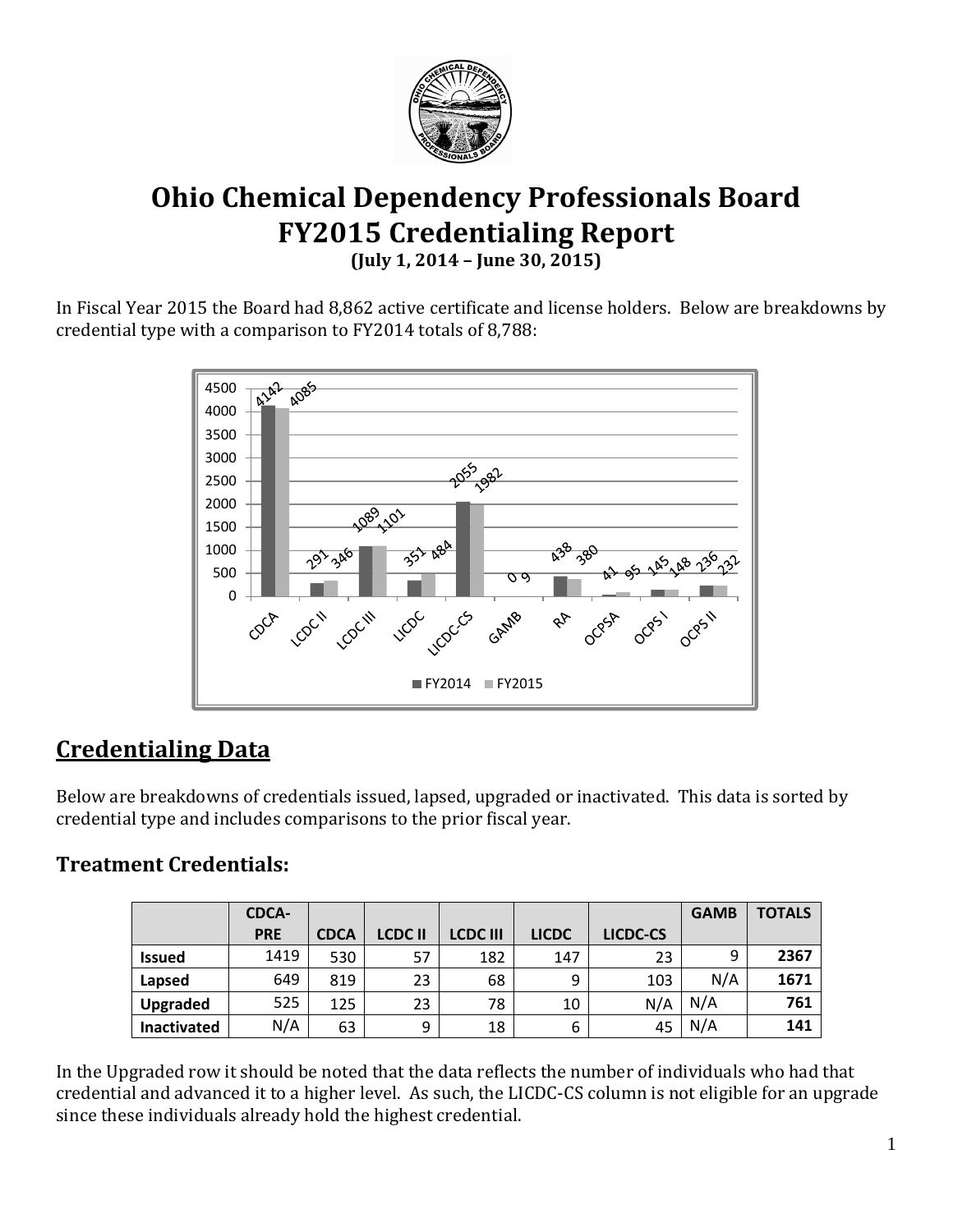

# **Ohio Chemical Dependency Professionals Board FY2015 Credentialing Report (July 1, 2014 – June 30, 2015)**

In Fiscal Year 2015 the Board had 8,862 active certificate and license holders. Below are breakdowns by credential type with a comparison to FY2014 totals of 8,788:



# **Credentialing Data**

Below are breakdowns of credentials issued, lapsed, upgraded or inactivated. This data is sorted by credential type and includes comparisons to the prior fiscal year.

## **Treatment Credentials:**

|                    | <b>CDCA-</b> |             |               |                 |              |          | <b>GAMB</b> | <b>TOTALS</b> |
|--------------------|--------------|-------------|---------------|-----------------|--------------|----------|-------------|---------------|
|                    | <b>PRE</b>   | <b>CDCA</b> | <b>LCDCII</b> | <b>LCDC III</b> | <b>LICDC</b> | LICDC-CS |             |               |
| <b>Issued</b>      | 1419         | 530         | 57            | 182             | 147          | 23       | 9           | 2367          |
| Lapsed             | 649          | 819         | 23            | 68              | 9            | 103      | N/A         | 1671          |
| Upgraded           | 525          | 125         | 23            | 78              | 10           | N/A      | N/A         | 761           |
| <b>Inactivated</b> | N/A          | 63          | 9             | 18              | 6            | 45       | N/A         | 141           |

In the Upgraded row it should be noted that the data reflects the number of individuals who had that credential and advanced it to a higher level. As such, the LICDC-CS column is not eligible for an upgrade since these individuals already hold the highest credential.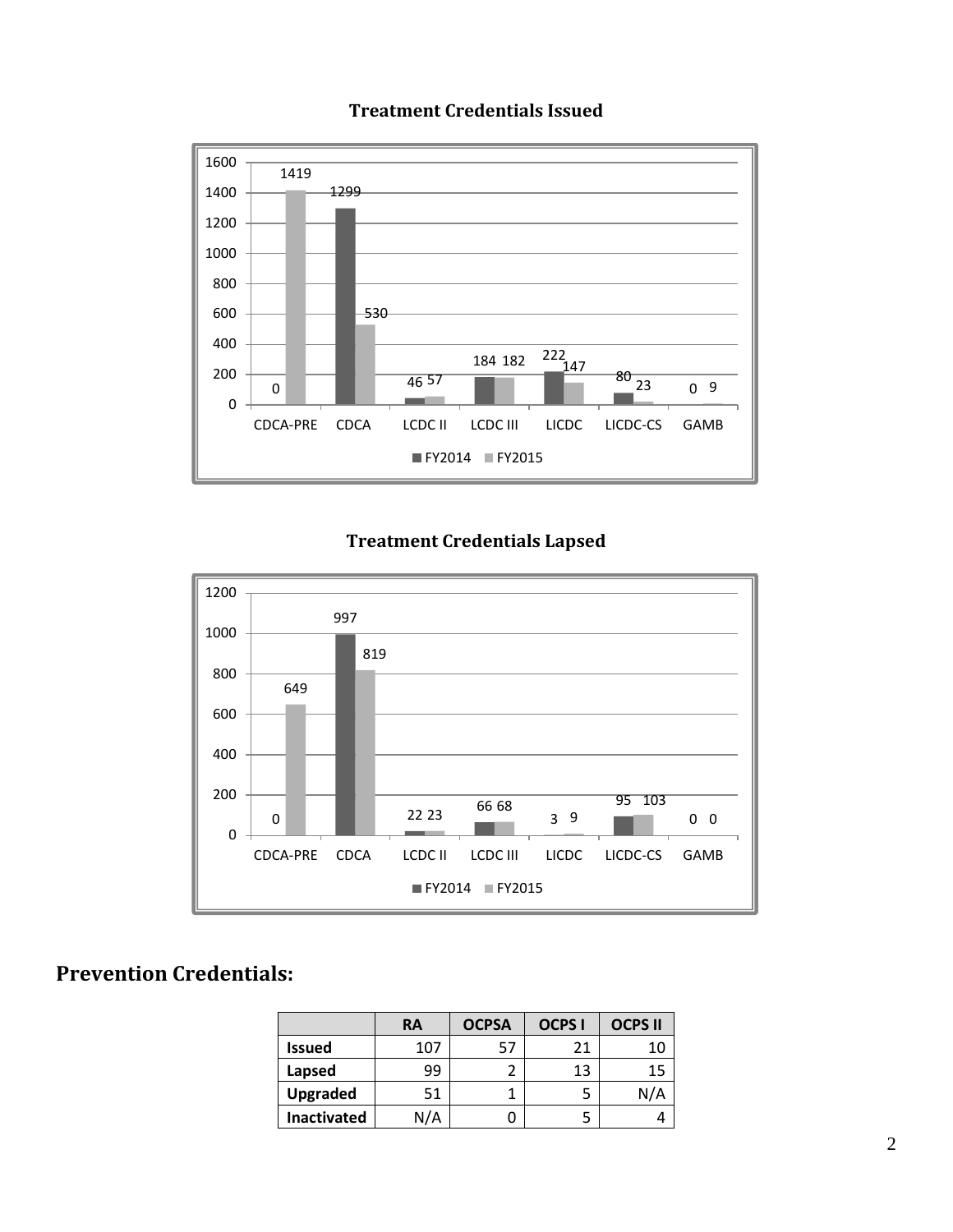

#### **Treatment Credentials Issued**

### **Treatment Credentials Lapsed**



## **Prevention Credentials:**

|                    | RA  | <b>OCPSA</b> | <b>OCPS I</b> | <b>OCPS II</b> |
|--------------------|-----|--------------|---------------|----------------|
| <b>Issued</b>      | 107 | 57           | 21            | 10             |
| Lapsed             | 99  |              | 13            | 15             |
| <b>Upgraded</b>    | 51  |              |               | N/A            |
| <b>Inactivated</b> | N/A |              |               |                |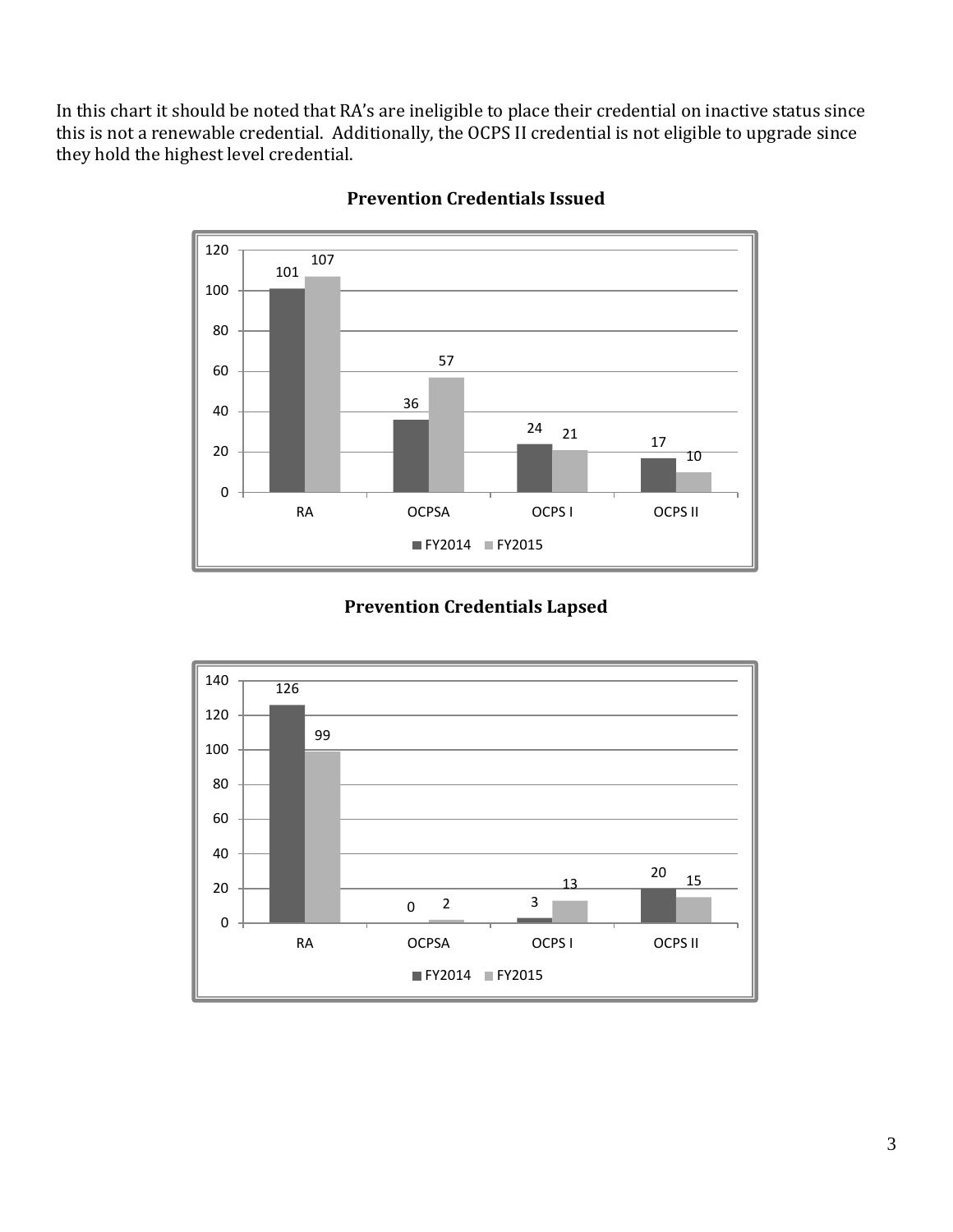In this chart it should be noted that RA's are ineligible to place their credential on inactive status since this is not a renewable credential. Additionally, the OCPS II credential is not eligible to upgrade since they hold the highest level credential.



#### **Prevention Credentials Issued**

### **Prevention Credentials Lapsed**

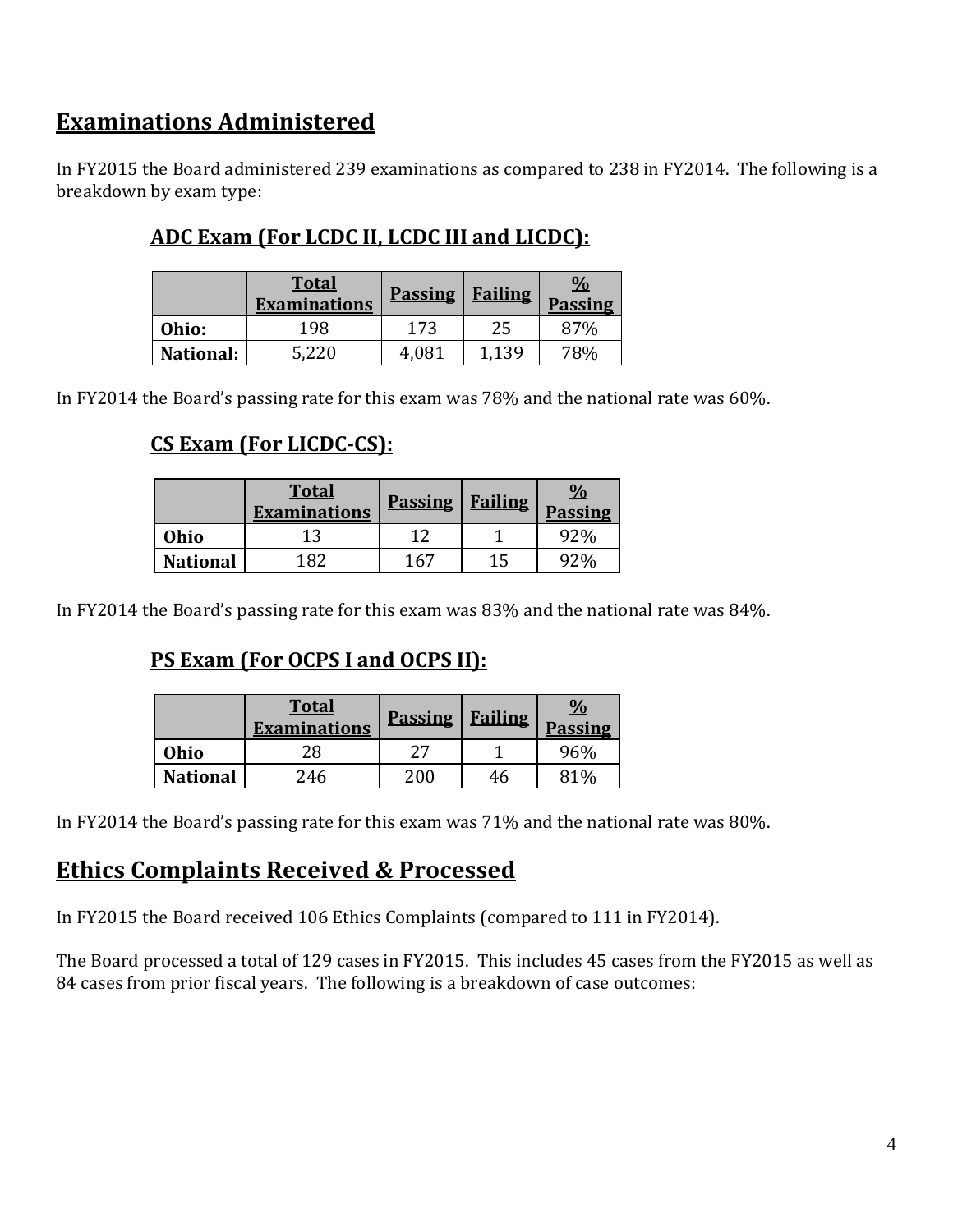## **Examinations Administered**

In FY2015 the Board administered 239 examinations as compared to 238 in FY2014. The following is a breakdown by exam type:

## **ADC Exam (For LCDC II, LCDC III and LICDC):**

|                  | <b>Total</b><br><b>Examinations</b> | <b>Passing</b> | <b>Failing</b> | $\frac{0}{0}$<br><b>Passing</b> |
|------------------|-------------------------------------|----------------|----------------|---------------------------------|
| Ohio:            | 198                                 | 173            | 25             | 87%                             |
| <b>National:</b> | 5,220                               | 4.081          | 1,139          | 78%                             |

In FY2014 the Board's passing rate for this exam was 78% and the national rate was 60%.

## **CS Exam (For LICDC-CS):**

|                 | <b>Total</b><br><b>Examinations</b> | <b>Passing</b> | <b>Failing</b> | $\frac{0}{0}$<br><b>Passing</b> |
|-----------------|-------------------------------------|----------------|----------------|---------------------------------|
| Ohio            |                                     |                |                | 92%                             |
| <b>National</b> | 182                                 | 167            | 15             | 420 <sub>c</sub>                |

In FY2014 the Board's passing rate for this exam was 83% and the national rate was 84%.

## **PS Exam (For OCPS I and OCPS II):**

|                 | <b>Total</b><br><b>Examinations</b> | <b>Passing</b> | <b>Failing</b> | $\frac{0}{0}$<br><b>Passing</b> |
|-----------------|-------------------------------------|----------------|----------------|---------------------------------|
| Ohio            | 28                                  | רי             |                | 96%                             |
| <b>National</b> | 246                                 | 200            | 46             | ጸ1%                             |

In FY2014 the Board's passing rate for this exam was 71% and the national rate was 80%.

## **Ethics Complaints Received & Processed**

In FY2015 the Board received 106 Ethics Complaints (compared to 111 in FY2014).

The Board processed a total of 129 cases in FY2015. This includes 45 cases from the FY2015 as well as 84 cases from prior fiscal years. The following is a breakdown of case outcomes: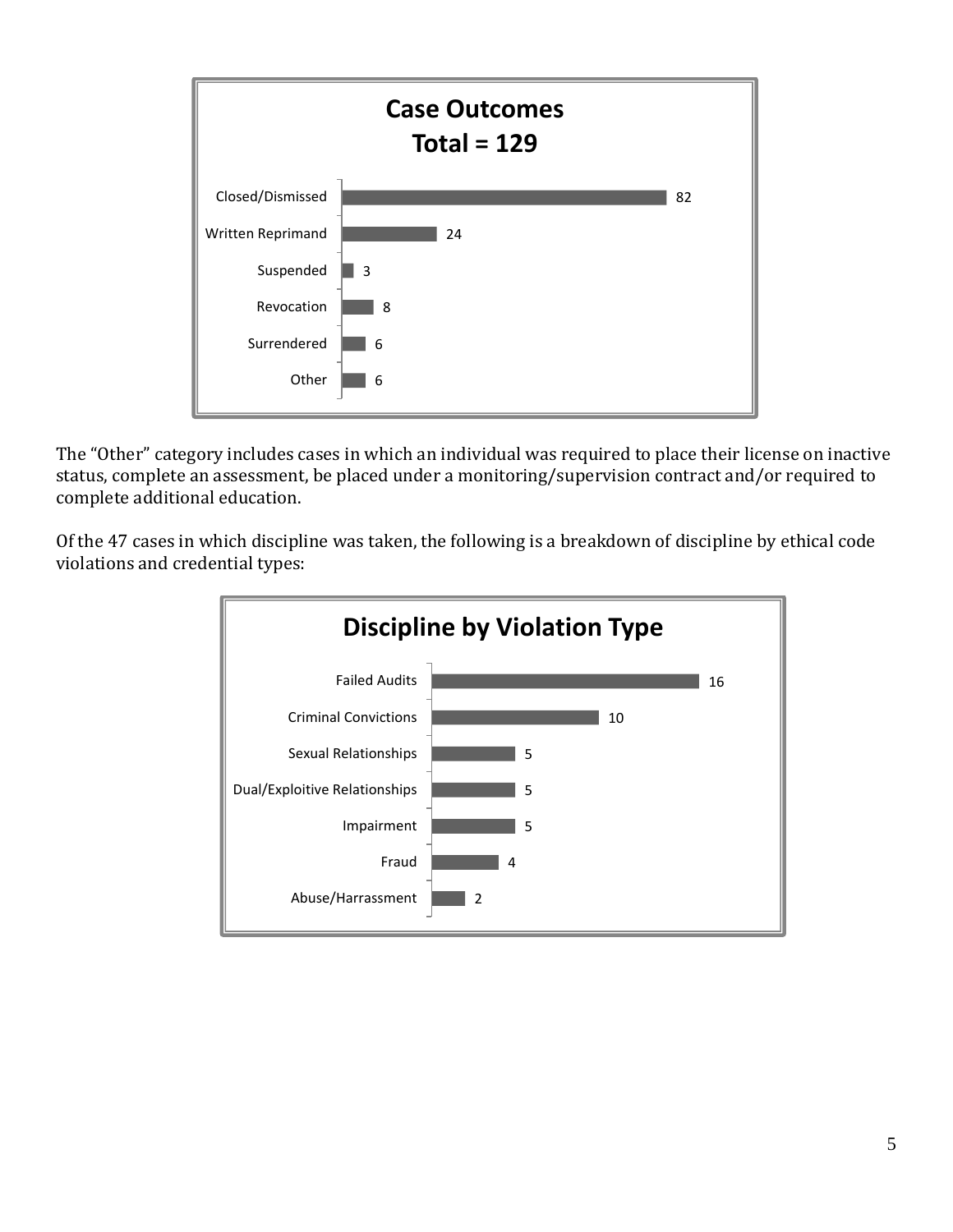

The "Other" category includes cases in which an individual was required to place their license on inactive status, complete an assessment, be placed under a monitoring/supervision contract and/or required to complete additional education.

Of the 47 cases in which discipline was taken, the following is a breakdown of discipline by ethical code violations and credential types: